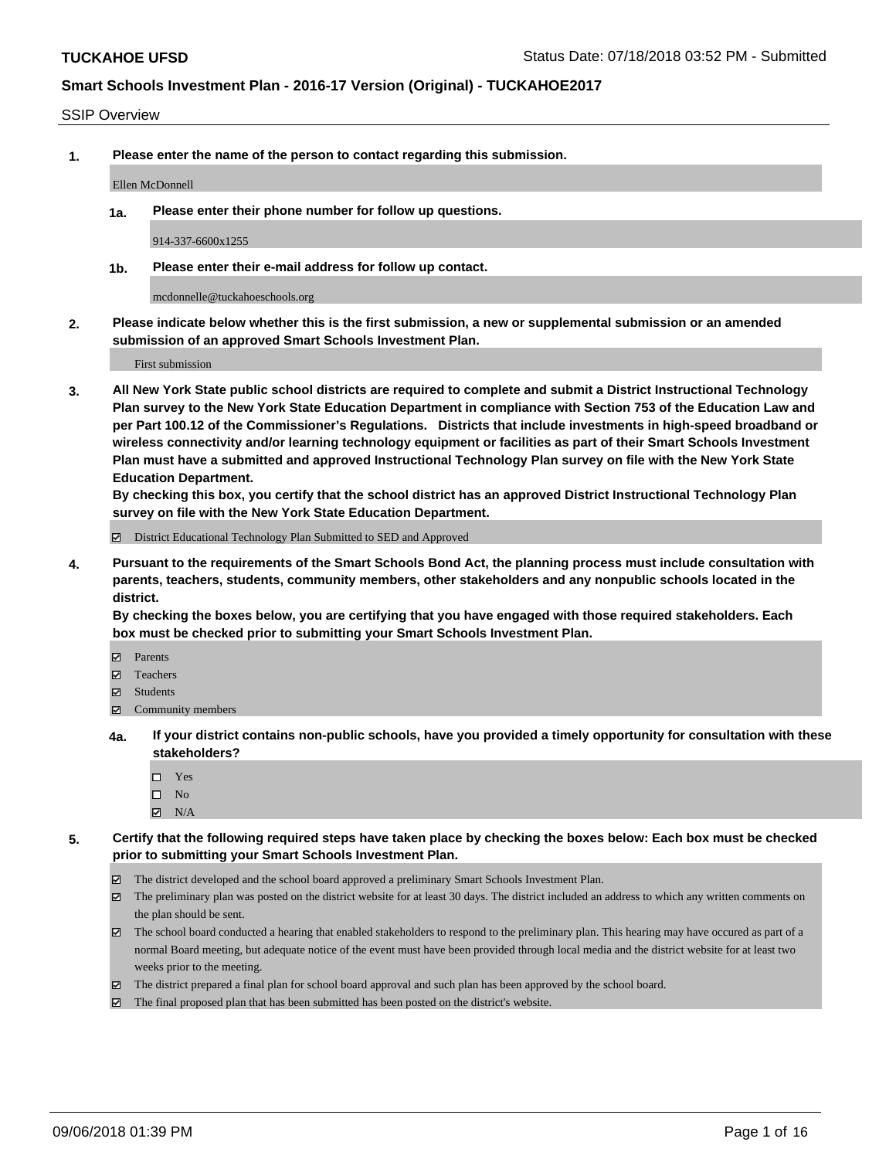#### SSIP Overview

**1. Please enter the name of the person to contact regarding this submission.**

Ellen McDonnell

**1a. Please enter their phone number for follow up questions.**

914-337-6600x1255

**1b. Please enter their e-mail address for follow up contact.**

mcdonnelle@tuckahoeschools.org

**2. Please indicate below whether this is the first submission, a new or supplemental submission or an amended submission of an approved Smart Schools Investment Plan.**

First submission

**3. All New York State public school districts are required to complete and submit a District Instructional Technology Plan survey to the New York State Education Department in compliance with Section 753 of the Education Law and per Part 100.12 of the Commissioner's Regulations. Districts that include investments in high-speed broadband or wireless connectivity and/or learning technology equipment or facilities as part of their Smart Schools Investment Plan must have a submitted and approved Instructional Technology Plan survey on file with the New York State Education Department.** 

**By checking this box, you certify that the school district has an approved District Instructional Technology Plan survey on file with the New York State Education Department.**

District Educational Technology Plan Submitted to SED and Approved

**4. Pursuant to the requirements of the Smart Schools Bond Act, the planning process must include consultation with parents, teachers, students, community members, other stakeholders and any nonpublic schools located in the district.** 

**By checking the boxes below, you are certifying that you have engaged with those required stakeholders. Each box must be checked prior to submitting your Smart Schools Investment Plan.**

- **Parents**
- Teachers
- **☑** Students
- **☑** Community members
- **4a. If your district contains non-public schools, have you provided a timely opportunity for consultation with these stakeholders?**
	- □ Yes
	- $\square$  No
	- $\boxtimes$  N/A
- **5. Certify that the following required steps have taken place by checking the boxes below: Each box must be checked prior to submitting your Smart Schools Investment Plan.**
	- The district developed and the school board approved a preliminary Smart Schools Investment Plan.
	- $\boxtimes$  The preliminary plan was posted on the district website for at least 30 days. The district included an address to which any written comments on the plan should be sent.
	- The school board conducted a hearing that enabled stakeholders to respond to the preliminary plan. This hearing may have occured as part of a normal Board meeting, but adequate notice of the event must have been provided through local media and the district website for at least two weeks prior to the meeting.
	- The district prepared a final plan for school board approval and such plan has been approved by the school board.
	- The final proposed plan that has been submitted has been posted on the district's website.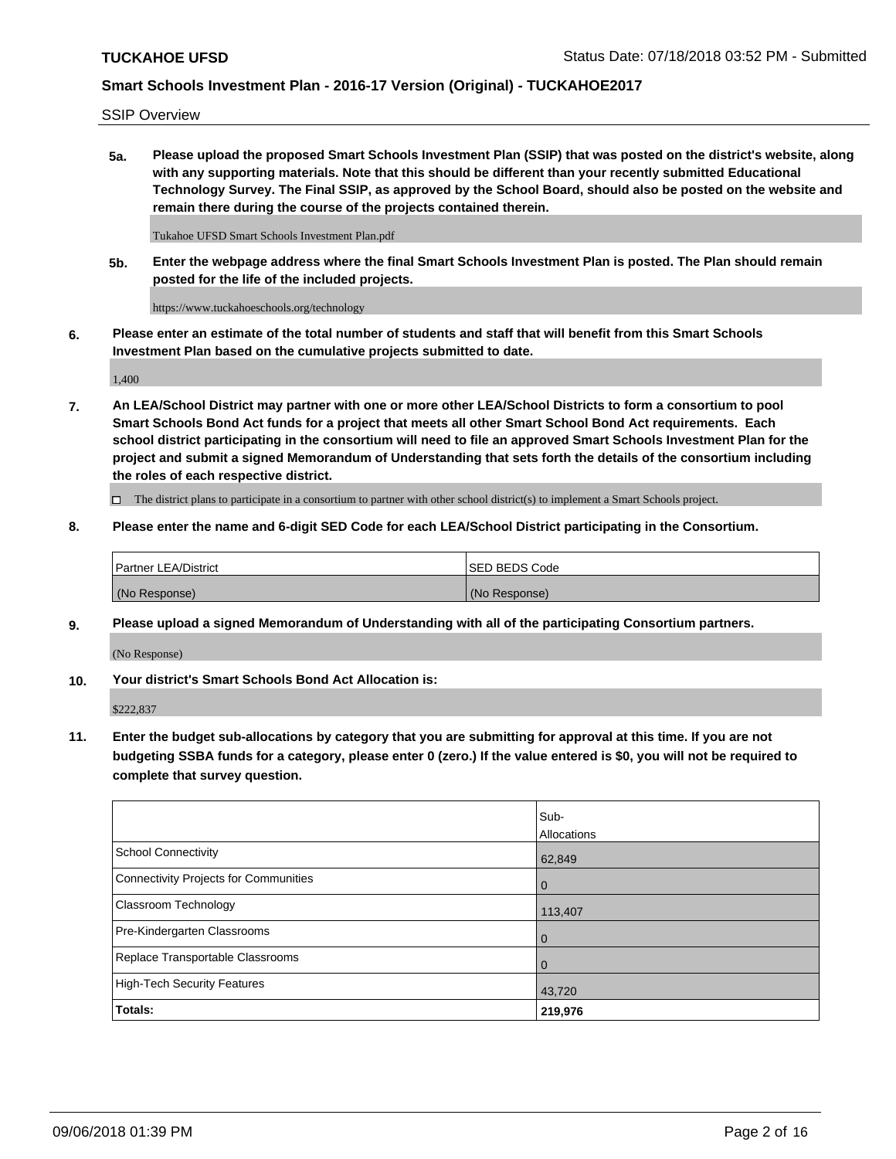SSIP Overview

**5a. Please upload the proposed Smart Schools Investment Plan (SSIP) that was posted on the district's website, along with any supporting materials. Note that this should be different than your recently submitted Educational Technology Survey. The Final SSIP, as approved by the School Board, should also be posted on the website and remain there during the course of the projects contained therein.**

Tukahoe UFSD Smart Schools Investment Plan.pdf

**5b. Enter the webpage address where the final Smart Schools Investment Plan is posted. The Plan should remain posted for the life of the included projects.**

https://www.tuckahoeschools.org/technology

**6. Please enter an estimate of the total number of students and staff that will benefit from this Smart Schools Investment Plan based on the cumulative projects submitted to date.**

1,400

**7. An LEA/School District may partner with one or more other LEA/School Districts to form a consortium to pool Smart Schools Bond Act funds for a project that meets all other Smart School Bond Act requirements. Each school district participating in the consortium will need to file an approved Smart Schools Investment Plan for the project and submit a signed Memorandum of Understanding that sets forth the details of the consortium including the roles of each respective district.**

 $\Box$  The district plans to participate in a consortium to partner with other school district(s) to implement a Smart Schools project.

### **8. Please enter the name and 6-digit SED Code for each LEA/School District participating in the Consortium.**

| Partner LEA/District | <b>ISED BEDS Code</b> |
|----------------------|-----------------------|
| (No Response)        | (No Response)         |

### **9. Please upload a signed Memorandum of Understanding with all of the participating Consortium partners.**

(No Response)

**10. Your district's Smart Schools Bond Act Allocation is:**

\$222,837

**11. Enter the budget sub-allocations by category that you are submitting for approval at this time. If you are not budgeting SSBA funds for a category, please enter 0 (zero.) If the value entered is \$0, you will not be required to complete that survey question.**

|                                       | Sub-<br>Allocations |
|---------------------------------------|---------------------|
| School Connectivity                   | 62,849              |
| Connectivity Projects for Communities | $\overline{0}$      |
| <b>Classroom Technology</b>           | 113,407             |
| Pre-Kindergarten Classrooms           | $\overline{0}$      |
| Replace Transportable Classrooms      | $\Omega$            |
| High-Tech Security Features           | 43,720              |
| Totals:                               | 219,976             |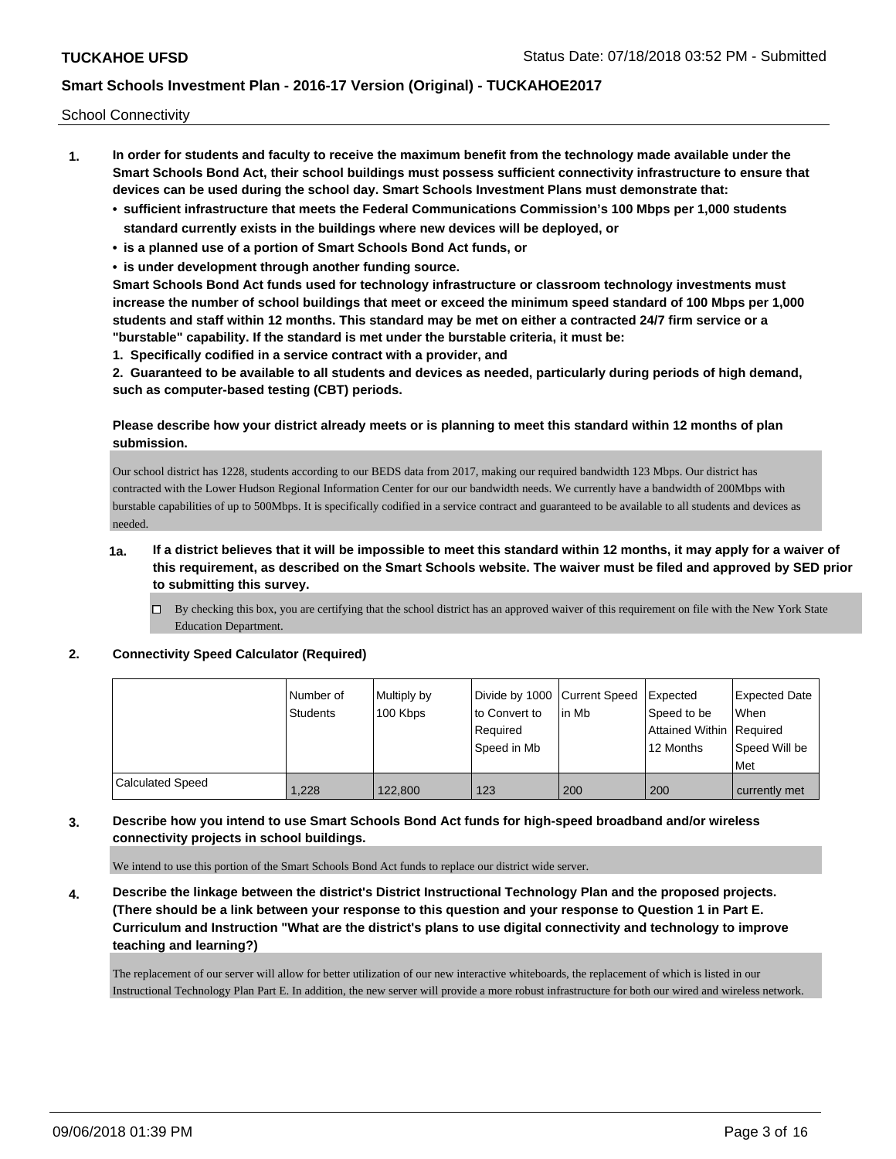School Connectivity

- **1. In order for students and faculty to receive the maximum benefit from the technology made available under the Smart Schools Bond Act, their school buildings must possess sufficient connectivity infrastructure to ensure that devices can be used during the school day. Smart Schools Investment Plans must demonstrate that:**
	- **• sufficient infrastructure that meets the Federal Communications Commission's 100 Mbps per 1,000 students standard currently exists in the buildings where new devices will be deployed, or**
	- **• is a planned use of a portion of Smart Schools Bond Act funds, or**
	- **• is under development through another funding source.**

**Smart Schools Bond Act funds used for technology infrastructure or classroom technology investments must increase the number of school buildings that meet or exceed the minimum speed standard of 100 Mbps per 1,000 students and staff within 12 months. This standard may be met on either a contracted 24/7 firm service or a "burstable" capability. If the standard is met under the burstable criteria, it must be:**

**1. Specifically codified in a service contract with a provider, and**

**2. Guaranteed to be available to all students and devices as needed, particularly during periods of high demand, such as computer-based testing (CBT) periods.**

### **Please describe how your district already meets or is planning to meet this standard within 12 months of plan submission.**

Our school district has 1228, students according to our BEDS data from 2017, making our required bandwidth 123 Mbps. Our district has contracted with the Lower Hudson Regional Information Center for our our bandwidth needs. We currently have a bandwidth of 200Mbps with burstable capabilities of up to 500Mbps. It is specifically codified in a service contract and guaranteed to be available to all students and devices as needed.

### **1a. If a district believes that it will be impossible to meet this standard within 12 months, it may apply for a waiver of this requirement, as described on the Smart Schools website. The waiver must be filed and approved by SED prior to submitting this survey.**

 $\Box$  By checking this box, you are certifying that the school district has an approved waiver of this requirement on file with the New York State Education Department.

#### **2. Connectivity Speed Calculator (Required)**

|                         | Number of<br>Students | Multiply by<br>100 Kbps | to Convert to           | Divide by 1000 Current Speed Expected<br>lin Mb | Speed to be                           | Expected Date<br>When |
|-------------------------|-----------------------|-------------------------|-------------------------|-------------------------------------------------|---------------------------------------|-----------------------|
|                         |                       |                         | Required<br>Speed in Mb |                                                 | Attained Within Required<br>12 Months | Speed Will be         |
|                         |                       |                         |                         |                                                 |                                       | Met                   |
| <b>Calculated Speed</b> | 1,228                 | 122,800                 | 123                     | 200                                             | 200                                   | currently met         |

### **3. Describe how you intend to use Smart Schools Bond Act funds for high-speed broadband and/or wireless connectivity projects in school buildings.**

We intend to use this portion of the Smart Schools Bond Act funds to replace our district wide server.

**4. Describe the linkage between the district's District Instructional Technology Plan and the proposed projects. (There should be a link between your response to this question and your response to Question 1 in Part E. Curriculum and Instruction "What are the district's plans to use digital connectivity and technology to improve teaching and learning?)**

The replacement of our server will allow for better utilization of our new interactive whiteboards, the replacement of which is listed in our Instructional Technology Plan Part E. In addition, the new server will provide a more robust infrastructure for both our wired and wireless network.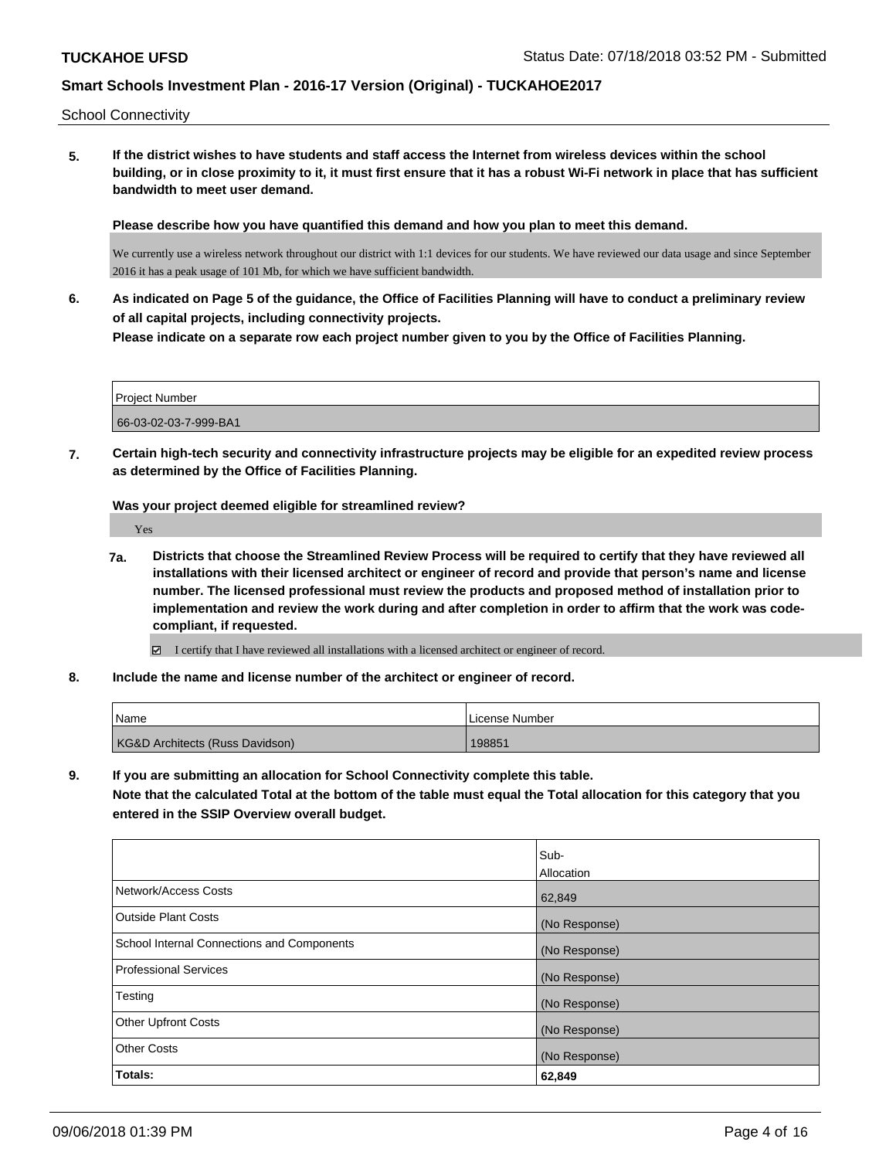School Connectivity

**5. If the district wishes to have students and staff access the Internet from wireless devices within the school building, or in close proximity to it, it must first ensure that it has a robust Wi-Fi network in place that has sufficient bandwidth to meet user demand.**

**Please describe how you have quantified this demand and how you plan to meet this demand.**

We currently use a wireless network throughout our district with 1:1 devices for our students. We have reviewed our data usage and since September 2016 it has a peak usage of 101 Mb, for which we have sufficient bandwidth.

**6. As indicated on Page 5 of the guidance, the Office of Facilities Planning will have to conduct a preliminary review of all capital projects, including connectivity projects.**

**Please indicate on a separate row each project number given to you by the Office of Facilities Planning.**

Project Number 66-03-02-03-7-999-BA1

**7. Certain high-tech security and connectivity infrastructure projects may be eligible for an expedited review process as determined by the Office of Facilities Planning.**

**Was your project deemed eligible for streamlined review?**

Yes

**7a. Districts that choose the Streamlined Review Process will be required to certify that they have reviewed all installations with their licensed architect or engineer of record and provide that person's name and license number. The licensed professional must review the products and proposed method of installation prior to implementation and review the work during and after completion in order to affirm that the work was codecompliant, if requested.**

I certify that I have reviewed all installations with a licensed architect or engineer of record.

**8. Include the name and license number of the architect or engineer of record.**

| Name                                       | License Number |
|--------------------------------------------|----------------|
| <b>KG&amp;D Architects (Russ Davidson)</b> | 198851         |

**9. If you are submitting an allocation for School Connectivity complete this table.**

**Note that the calculated Total at the bottom of the table must equal the Total allocation for this category that you entered in the SSIP Overview overall budget.** 

|                                                   | Sub-          |
|---------------------------------------------------|---------------|
|                                                   | Allocation    |
| Network/Access Costs                              | 62,849        |
| Outside Plant Costs                               | (No Response) |
| <b>School Internal Connections and Components</b> | (No Response) |
| <b>Professional Services</b>                      | (No Response) |
| Testing                                           | (No Response) |
| <b>Other Upfront Costs</b>                        | (No Response) |
| <b>Other Costs</b>                                | (No Response) |
| Totals:                                           | 62,849        |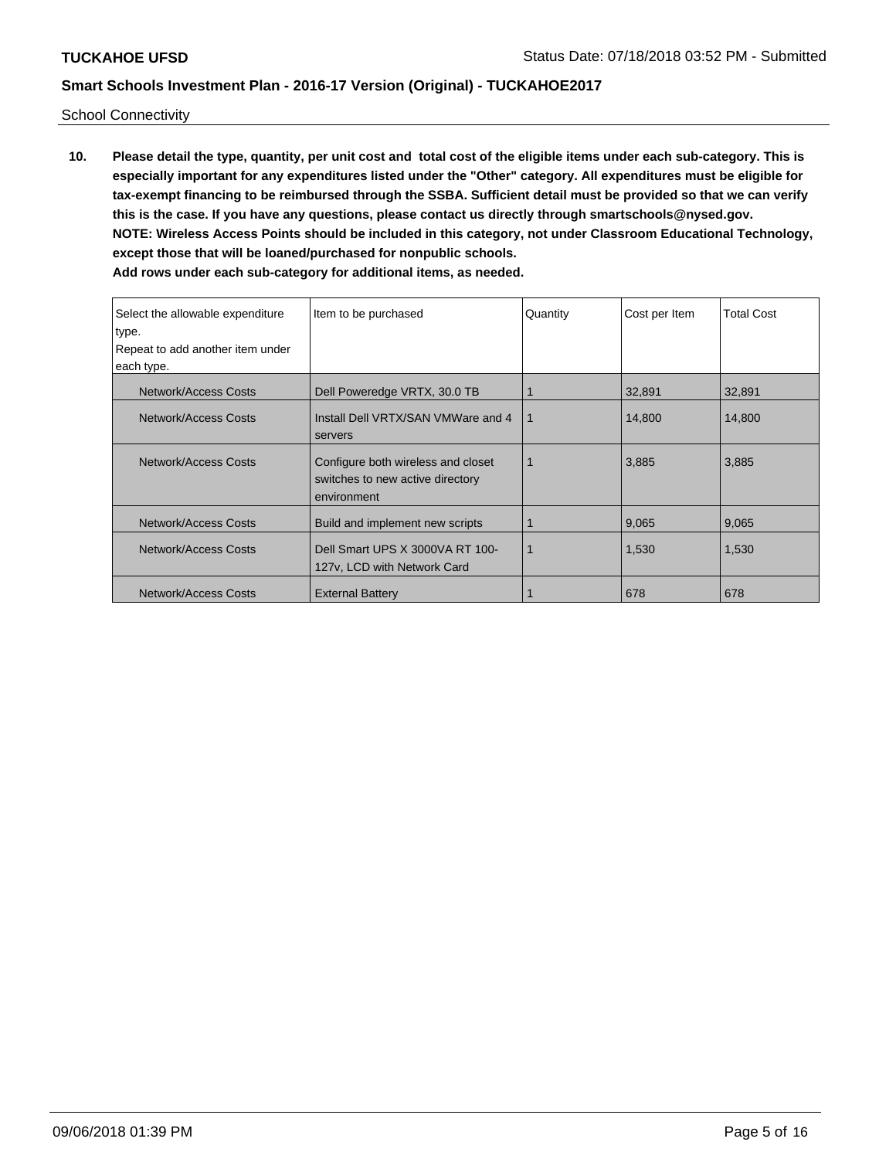School Connectivity

**10. Please detail the type, quantity, per unit cost and total cost of the eligible items under each sub-category. This is especially important for any expenditures listed under the "Other" category. All expenditures must be eligible for tax-exempt financing to be reimbursed through the SSBA. Sufficient detail must be provided so that we can verify this is the case. If you have any questions, please contact us directly through smartschools@nysed.gov. NOTE: Wireless Access Points should be included in this category, not under Classroom Educational Technology, except those that will be loaned/purchased for nonpublic schools. Add rows under each sub-category for additional items, as needed.**

| Select the allowable expenditure | Item to be purchased                                                                  | Quantity | Cost per Item | <b>Total Cost</b> |
|----------------------------------|---------------------------------------------------------------------------------------|----------|---------------|-------------------|
| type.                            |                                                                                       |          |               |                   |
| Repeat to add another item under |                                                                                       |          |               |                   |
| each type.                       |                                                                                       |          |               |                   |
| Network/Access Costs             | Dell Poweredge VRTX, 30.0 TB                                                          |          | 32,891        | 32,891            |
| Network/Access Costs             | Install Dell VRTX/SAN VMWare and 4<br>servers                                         |          | 14,800        | 14.800            |
| Network/Access Costs             | Configure both wireless and closet<br>switches to new active directory<br>environment |          | 3,885         | 3,885             |
| Network/Access Costs             | Build and implement new scripts                                                       |          | 9,065         | 9,065             |
| Network/Access Costs             | Dell Smart UPS X 3000VA RT 100-<br>127v, LCD with Network Card                        |          | 1,530         | 1,530             |
| Network/Access Costs             | <b>External Battery</b>                                                               |          | 678           | 678               |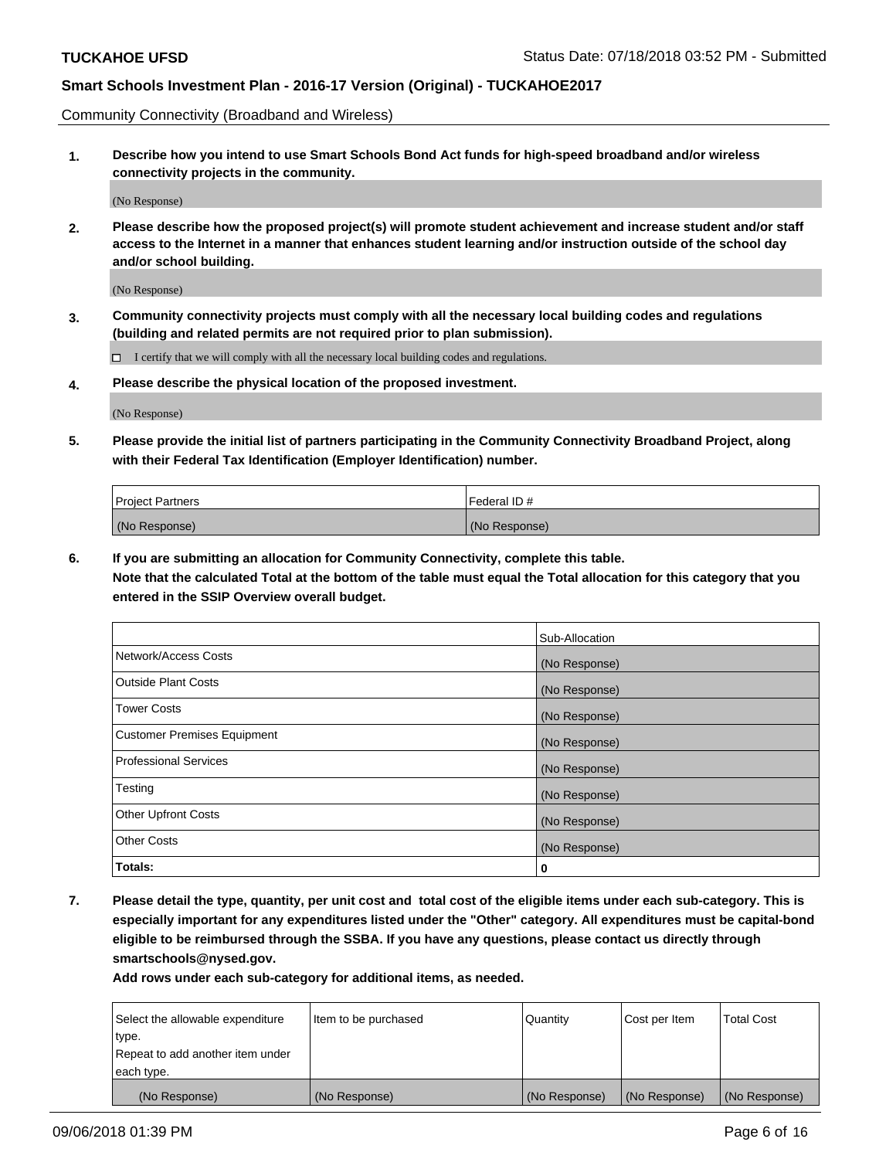Community Connectivity (Broadband and Wireless)

**1. Describe how you intend to use Smart Schools Bond Act funds for high-speed broadband and/or wireless connectivity projects in the community.**

(No Response)

**2. Please describe how the proposed project(s) will promote student achievement and increase student and/or staff access to the Internet in a manner that enhances student learning and/or instruction outside of the school day and/or school building.**

(No Response)

**3. Community connectivity projects must comply with all the necessary local building codes and regulations (building and related permits are not required prior to plan submission).**

 $\Box$  I certify that we will comply with all the necessary local building codes and regulations.

**4. Please describe the physical location of the proposed investment.**

(No Response)

**5. Please provide the initial list of partners participating in the Community Connectivity Broadband Project, along with their Federal Tax Identification (Employer Identification) number.**

| <b>Project Partners</b> | Federal ID#   |
|-------------------------|---------------|
| (No Response)           | (No Response) |

**6. If you are submitting an allocation for Community Connectivity, complete this table.**

**Note that the calculated Total at the bottom of the table must equal the Total allocation for this category that you entered in the SSIP Overview overall budget.**

|                                    | Sub-Allocation |
|------------------------------------|----------------|
| Network/Access Costs               | (No Response)  |
| <b>Outside Plant Costs</b>         | (No Response)  |
| <b>Tower Costs</b>                 | (No Response)  |
| <b>Customer Premises Equipment</b> | (No Response)  |
| <b>Professional Services</b>       | (No Response)  |
| Testing                            | (No Response)  |
| <b>Other Upfront Costs</b>         | (No Response)  |
| <b>Other Costs</b>                 | (No Response)  |
| Totals:                            | 0              |

**7. Please detail the type, quantity, per unit cost and total cost of the eligible items under each sub-category. This is especially important for any expenditures listed under the "Other" category. All expenditures must be capital-bond eligible to be reimbursed through the SSBA. If you have any questions, please contact us directly through smartschools@nysed.gov.**

| Select the allowable expenditure | Item to be purchased | Quantity      | Cost per Item | <b>Total Cost</b> |
|----------------------------------|----------------------|---------------|---------------|-------------------|
| type.                            |                      |               |               |                   |
| Repeat to add another item under |                      |               |               |                   |
| each type.                       |                      |               |               |                   |
| (No Response)                    | (No Response)        | (No Response) | (No Response) | (No Response)     |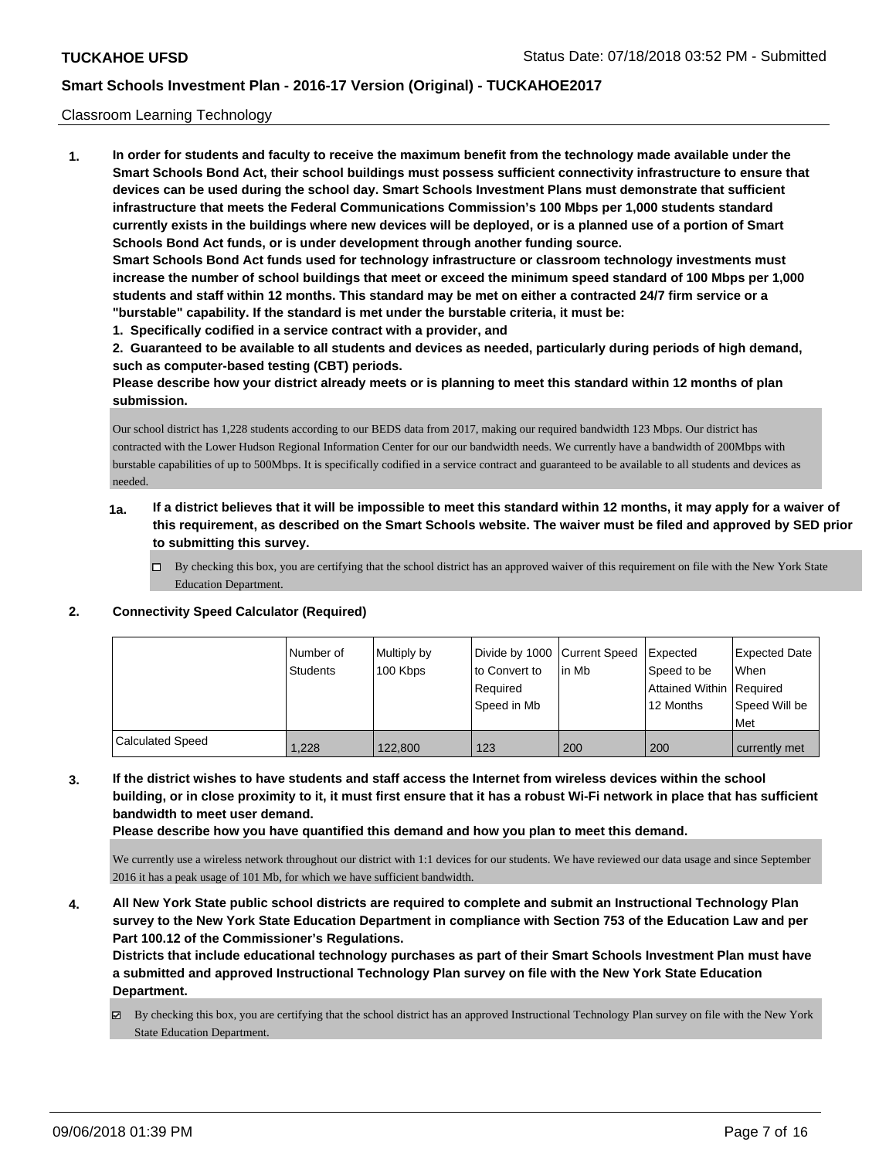#### Classroom Learning Technology

**1. In order for students and faculty to receive the maximum benefit from the technology made available under the Smart Schools Bond Act, their school buildings must possess sufficient connectivity infrastructure to ensure that devices can be used during the school day. Smart Schools Investment Plans must demonstrate that sufficient infrastructure that meets the Federal Communications Commission's 100 Mbps per 1,000 students standard currently exists in the buildings where new devices will be deployed, or is a planned use of a portion of Smart Schools Bond Act funds, or is under development through another funding source. Smart Schools Bond Act funds used for technology infrastructure or classroom technology investments must increase the number of school buildings that meet or exceed the minimum speed standard of 100 Mbps per 1,000 students and staff within 12 months. This standard may be met on either a contracted 24/7 firm service or a "burstable" capability. If the standard is met under the burstable criteria, it must be:**

**1. Specifically codified in a service contract with a provider, and**

**2. Guaranteed to be available to all students and devices as needed, particularly during periods of high demand, such as computer-based testing (CBT) periods.**

**Please describe how your district already meets or is planning to meet this standard within 12 months of plan submission.**

Our school district has 1,228 students according to our BEDS data from 2017, making our required bandwidth 123 Mbps. Our district has contracted with the Lower Hudson Regional Information Center for our our bandwidth needs. We currently have a bandwidth of 200Mbps with burstable capabilities of up to 500Mbps. It is specifically codified in a service contract and guaranteed to be available to all students and devices as needed.

- **1a. If a district believes that it will be impossible to meet this standard within 12 months, it may apply for a waiver of this requirement, as described on the Smart Schools website. The waiver must be filed and approved by SED prior to submitting this survey.**
	- □ By checking this box, you are certifying that the school district has an approved waiver of this requirement on file with the New York State Education Department.

#### **2. Connectivity Speed Calculator (Required)**

|                  | Number of<br><b>Students</b> | Multiply by<br>100 Kbps | Divide by 1000 Current Speed<br>to Convert to<br>l Reauired<br>Speed in Mb | lin Mb | Expected<br>Speed to be<br>Attained Within   Required<br>12 Months | <b>Expected Date</b><br>When<br>Speed Will be<br>l Met |
|------------------|------------------------------|-------------------------|----------------------------------------------------------------------------|--------|--------------------------------------------------------------------|--------------------------------------------------------|
| Calculated Speed | 1,228                        | 122,800                 | 123                                                                        | 200    | 200                                                                | currently met                                          |

**3. If the district wishes to have students and staff access the Internet from wireless devices within the school building, or in close proximity to it, it must first ensure that it has a robust Wi-Fi network in place that has sufficient bandwidth to meet user demand.**

**Please describe how you have quantified this demand and how you plan to meet this demand.**

We currently use a wireless network throughout our district with 1:1 devices for our students. We have reviewed our data usage and since September 2016 it has a peak usage of 101 Mb, for which we have sufficient bandwidth.

**4. All New York State public school districts are required to complete and submit an Instructional Technology Plan survey to the New York State Education Department in compliance with Section 753 of the Education Law and per Part 100.12 of the Commissioner's Regulations.**

**Districts that include educational technology purchases as part of their Smart Schools Investment Plan must have a submitted and approved Instructional Technology Plan survey on file with the New York State Education Department.**

By checking this box, you are certifying that the school district has an approved Instructional Technology Plan survey on file with the New York State Education Department.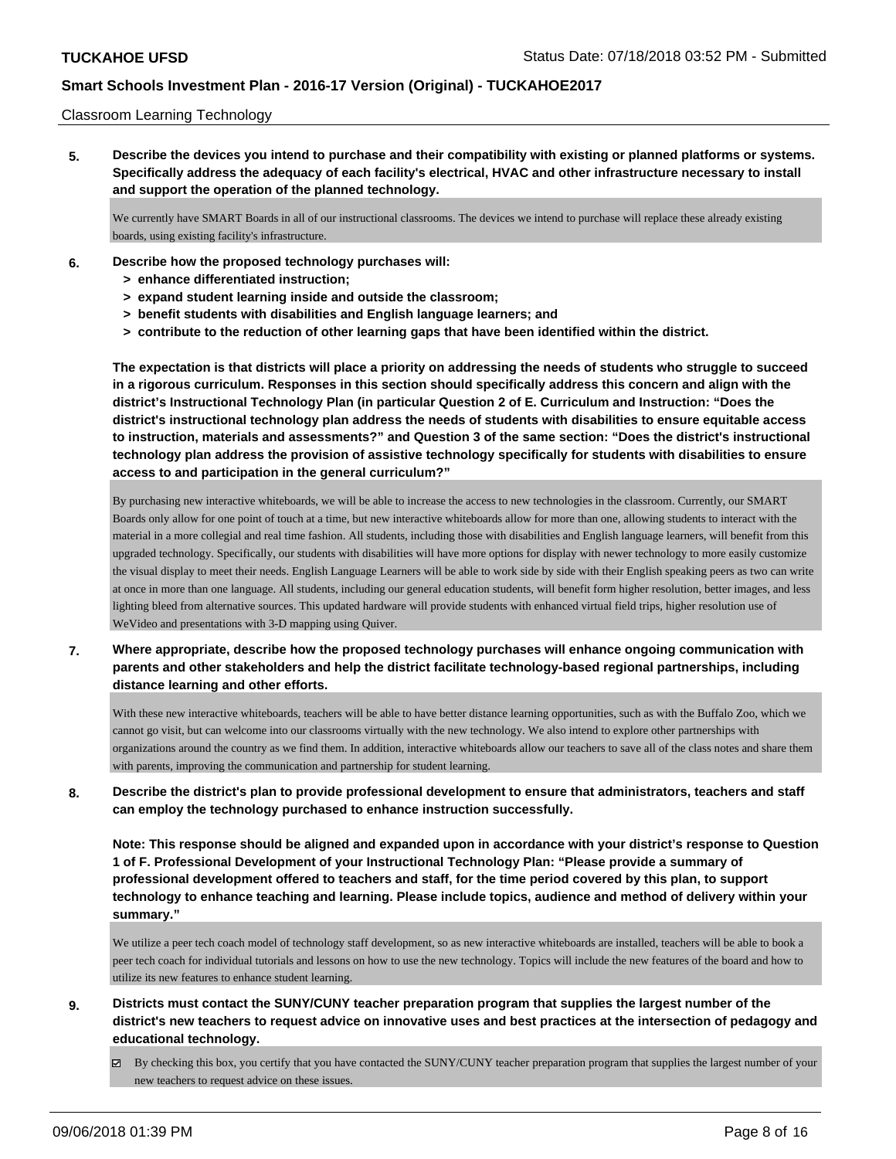#### Classroom Learning Technology

**5. Describe the devices you intend to purchase and their compatibility with existing or planned platforms or systems. Specifically address the adequacy of each facility's electrical, HVAC and other infrastructure necessary to install and support the operation of the planned technology.**

We currently have SMART Boards in all of our instructional classrooms. The devices we intend to purchase will replace these already existing boards, using existing facility's infrastructure.

- **6. Describe how the proposed technology purchases will:**
	- **> enhance differentiated instruction;**
	- **> expand student learning inside and outside the classroom;**
	- **> benefit students with disabilities and English language learners; and**
	- **> contribute to the reduction of other learning gaps that have been identified within the district.**

**The expectation is that districts will place a priority on addressing the needs of students who struggle to succeed in a rigorous curriculum. Responses in this section should specifically address this concern and align with the district's Instructional Technology Plan (in particular Question 2 of E. Curriculum and Instruction: "Does the district's instructional technology plan address the needs of students with disabilities to ensure equitable access to instruction, materials and assessments?" and Question 3 of the same section: "Does the district's instructional technology plan address the provision of assistive technology specifically for students with disabilities to ensure access to and participation in the general curriculum?"**

By purchasing new interactive whiteboards, we will be able to increase the access to new technologies in the classroom. Currently, our SMART Boards only allow for one point of touch at a time, but new interactive whiteboards allow for more than one, allowing students to interact with the material in a more collegial and real time fashion. All students, including those with disabilities and English language learners, will benefit from this upgraded technology. Specifically, our students with disabilities will have more options for display with newer technology to more easily customize the visual display to meet their needs. English Language Learners will be able to work side by side with their English speaking peers as two can write at once in more than one language. All students, including our general education students, will benefit form higher resolution, better images, and less lighting bleed from alternative sources. This updated hardware will provide students with enhanced virtual field trips, higher resolution use of WeVideo and presentations with 3-D mapping using Quiver.

**7. Where appropriate, describe how the proposed technology purchases will enhance ongoing communication with parents and other stakeholders and help the district facilitate technology-based regional partnerships, including distance learning and other efforts.**

With these new interactive whiteboards, teachers will be able to have better distance learning opportunities, such as with the Buffalo Zoo, which we cannot go visit, but can welcome into our classrooms virtually with the new technology. We also intend to explore other partnerships with organizations around the country as we find them. In addition, interactive whiteboards allow our teachers to save all of the class notes and share them with parents, improving the communication and partnership for student learning.

**8. Describe the district's plan to provide professional development to ensure that administrators, teachers and staff can employ the technology purchased to enhance instruction successfully.**

**Note: This response should be aligned and expanded upon in accordance with your district's response to Question 1 of F. Professional Development of your Instructional Technology Plan: "Please provide a summary of professional development offered to teachers and staff, for the time period covered by this plan, to support technology to enhance teaching and learning. Please include topics, audience and method of delivery within your summary."**

We utilize a peer tech coach model of technology staff development, so as new interactive whiteboards are installed, teachers will be able to book a peer tech coach for individual tutorials and lessons on how to use the new technology. Topics will include the new features of the board and how to utilize its new features to enhance student learning.

- **9. Districts must contact the SUNY/CUNY teacher preparation program that supplies the largest number of the district's new teachers to request advice on innovative uses and best practices at the intersection of pedagogy and educational technology.**
	- By checking this box, you certify that you have contacted the SUNY/CUNY teacher preparation program that supplies the largest number of your new teachers to request advice on these issues.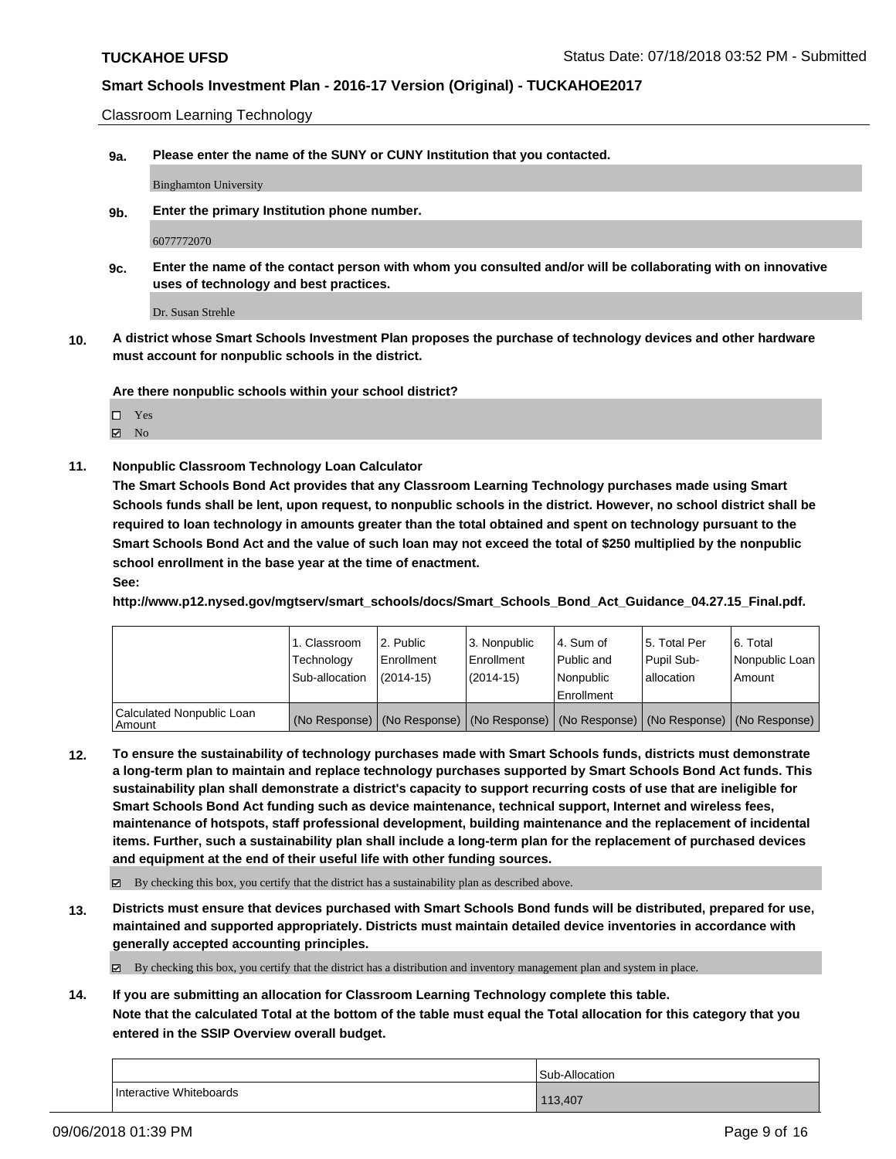Classroom Learning Technology

**9a. Please enter the name of the SUNY or CUNY Institution that you contacted.**

Binghamton University

**9b. Enter the primary Institution phone number.**

6077772070

**9c. Enter the name of the contact person with whom you consulted and/or will be collaborating with on innovative uses of technology and best practices.**

Dr. Susan Strehle

**10. A district whose Smart Schools Investment Plan proposes the purchase of technology devices and other hardware must account for nonpublic schools in the district.**

**Are there nonpublic schools within your school district?**

Yes

- $\boxtimes$  No
- **11. Nonpublic Classroom Technology Loan Calculator**

**The Smart Schools Bond Act provides that any Classroom Learning Technology purchases made using Smart Schools funds shall be lent, upon request, to nonpublic schools in the district. However, no school district shall be required to loan technology in amounts greater than the total obtained and spent on technology pursuant to the Smart Schools Bond Act and the value of such loan may not exceed the total of \$250 multiplied by the nonpublic school enrollment in the base year at the time of enactment.**

**See:**

**http://www.p12.nysed.gov/mgtserv/smart\_schools/docs/Smart\_Schools\_Bond\_Act\_Guidance\_04.27.15\_Final.pdf.**

|                                       | 1. Classroom<br>Technology<br>Sub-allocation | l 2. Public<br>l Enrollment<br>$(2014 - 15)$ | l 3. Nonpublic<br>Enrollment<br>(2014-15) | 4. Sum of<br>Public and<br>l Nonpublic<br>Enrollment                                          | 15. Total Per<br>Pupil Sub-<br>allocation | l 6. Total<br>  Nonpublic Loan  <br>Amount |
|---------------------------------------|----------------------------------------------|----------------------------------------------|-------------------------------------------|-----------------------------------------------------------------------------------------------|-------------------------------------------|--------------------------------------------|
| Calculated Nonpublic Loan<br>l Amount |                                              |                                              |                                           | (No Response)   (No Response)   (No Response)   (No Response)   (No Response)   (No Response) |                                           |                                            |

**12. To ensure the sustainability of technology purchases made with Smart Schools funds, districts must demonstrate a long-term plan to maintain and replace technology purchases supported by Smart Schools Bond Act funds. This sustainability plan shall demonstrate a district's capacity to support recurring costs of use that are ineligible for Smart Schools Bond Act funding such as device maintenance, technical support, Internet and wireless fees, maintenance of hotspots, staff professional development, building maintenance and the replacement of incidental items. Further, such a sustainability plan shall include a long-term plan for the replacement of purchased devices and equipment at the end of their useful life with other funding sources.**

By checking this box, you certify that the district has a sustainability plan as described above.

**13. Districts must ensure that devices purchased with Smart Schools Bond funds will be distributed, prepared for use, maintained and supported appropriately. Districts must maintain detailed device inventories in accordance with generally accepted accounting principles.**

By checking this box, you certify that the district has a distribution and inventory management plan and system in place.

**14. If you are submitting an allocation for Classroom Learning Technology complete this table.**

**Note that the calculated Total at the bottom of the table must equal the Total allocation for this category that you entered in the SSIP Overview overall budget.**

|                         | Sub-Allocation |
|-------------------------|----------------|
| Interactive Whiteboards | 113,407        |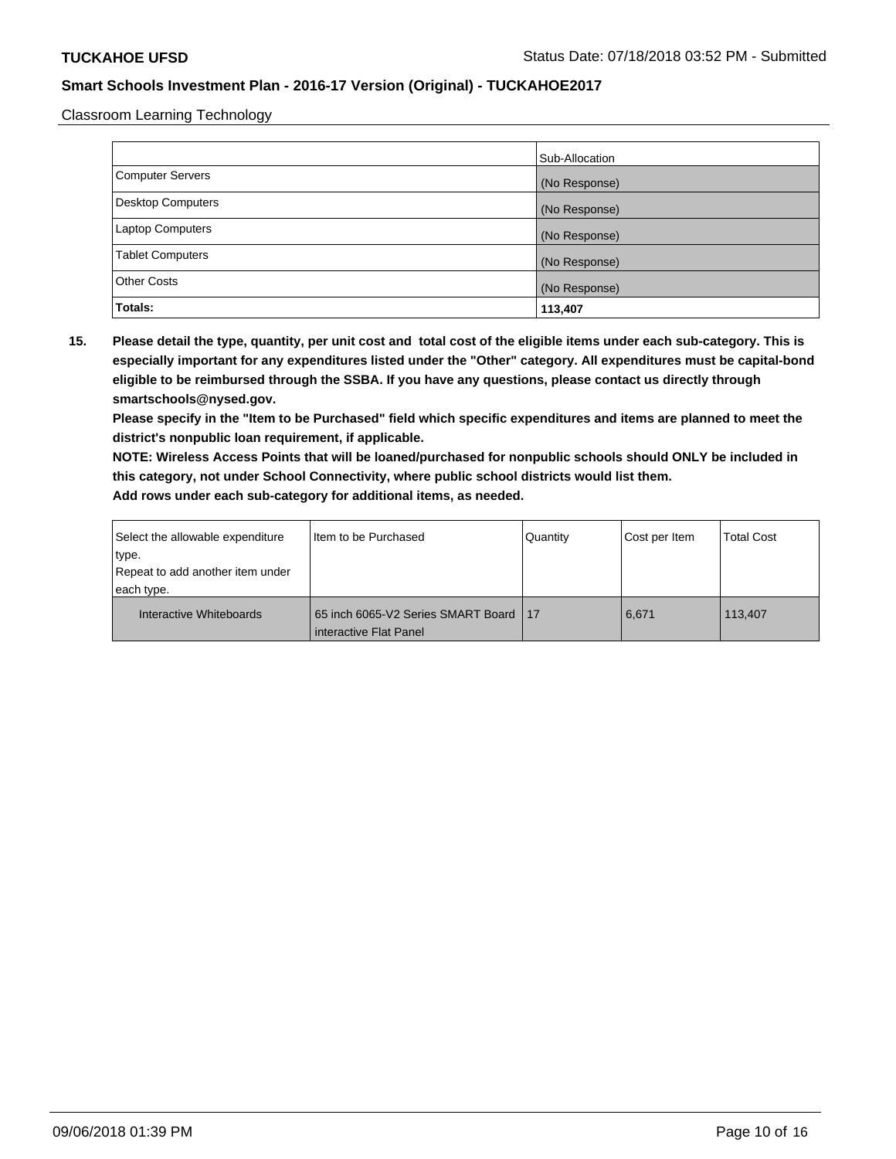Classroom Learning Technology

|                         | Sub-Allocation |
|-------------------------|----------------|
| Computer Servers        | (No Response)  |
| Desktop Computers       | (No Response)  |
| <b>Laptop Computers</b> | (No Response)  |
| <b>Tablet Computers</b> | (No Response)  |
| <b>Other Costs</b>      | (No Response)  |
| Totals:                 | 113,407        |

**15. Please detail the type, quantity, per unit cost and total cost of the eligible items under each sub-category. This is especially important for any expenditures listed under the "Other" category. All expenditures must be capital-bond eligible to be reimbursed through the SSBA. If you have any questions, please contact us directly through smartschools@nysed.gov.**

**Please specify in the "Item to be Purchased" field which specific expenditures and items are planned to meet the district's nonpublic loan requirement, if applicable.**

**NOTE: Wireless Access Points that will be loaned/purchased for nonpublic schools should ONLY be included in this category, not under School Connectivity, where public school districts would list them.**

| Select the allowable expenditure | Iltem to be Purchased                                           | Quantity | Cost per Item | <b>Total Cost</b> |
|----------------------------------|-----------------------------------------------------------------|----------|---------------|-------------------|
| type.                            |                                                                 |          |               |                   |
| Repeat to add another item under |                                                                 |          |               |                   |
| each type.                       |                                                                 |          |               |                   |
| Interactive Whiteboards          | 65 inch 6065-V2 Series SMART Board 17<br>interactive Flat Panel |          | 6.671         | 113.407           |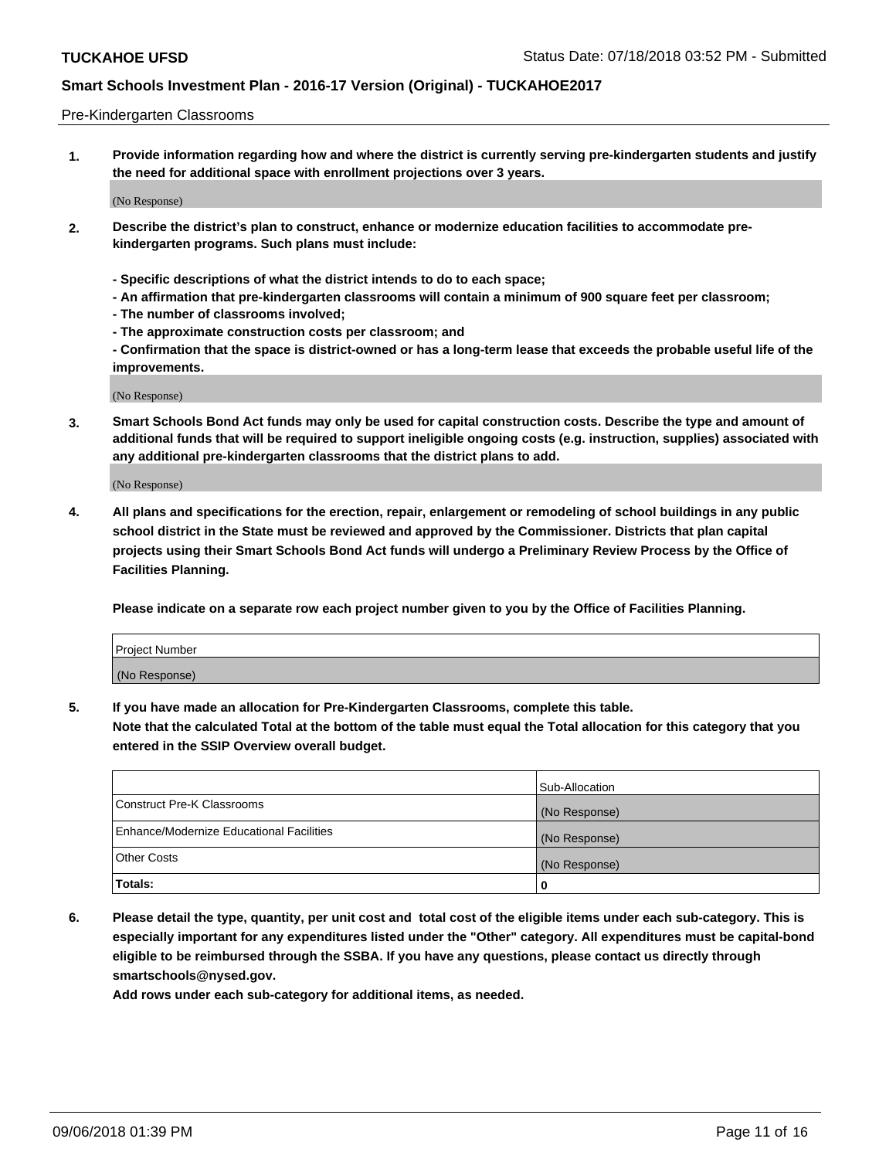#### Pre-Kindergarten Classrooms

**1. Provide information regarding how and where the district is currently serving pre-kindergarten students and justify the need for additional space with enrollment projections over 3 years.**

(No Response)

- **2. Describe the district's plan to construct, enhance or modernize education facilities to accommodate prekindergarten programs. Such plans must include:**
	- **Specific descriptions of what the district intends to do to each space;**
	- **An affirmation that pre-kindergarten classrooms will contain a minimum of 900 square feet per classroom;**
	- **The number of classrooms involved;**
	- **The approximate construction costs per classroom; and**
	- **Confirmation that the space is district-owned or has a long-term lease that exceeds the probable useful life of the improvements.**

(No Response)

**3. Smart Schools Bond Act funds may only be used for capital construction costs. Describe the type and amount of additional funds that will be required to support ineligible ongoing costs (e.g. instruction, supplies) associated with any additional pre-kindergarten classrooms that the district plans to add.**

(No Response)

**4. All plans and specifications for the erection, repair, enlargement or remodeling of school buildings in any public school district in the State must be reviewed and approved by the Commissioner. Districts that plan capital projects using their Smart Schools Bond Act funds will undergo a Preliminary Review Process by the Office of Facilities Planning.**

**Please indicate on a separate row each project number given to you by the Office of Facilities Planning.**

| Project Number |  |
|----------------|--|
| (No Response)  |  |
|                |  |

**5. If you have made an allocation for Pre-Kindergarten Classrooms, complete this table.**

**Note that the calculated Total at the bottom of the table must equal the Total allocation for this category that you entered in the SSIP Overview overall budget.**

|                                          | Sub-Allocation |
|------------------------------------------|----------------|
| Construct Pre-K Classrooms               | (No Response)  |
| Enhance/Modernize Educational Facilities | (No Response)  |
| <b>Other Costs</b>                       | (No Response)  |
| Totals:                                  | 0              |

**6. Please detail the type, quantity, per unit cost and total cost of the eligible items under each sub-category. This is especially important for any expenditures listed under the "Other" category. All expenditures must be capital-bond eligible to be reimbursed through the SSBA. If you have any questions, please contact us directly through smartschools@nysed.gov.**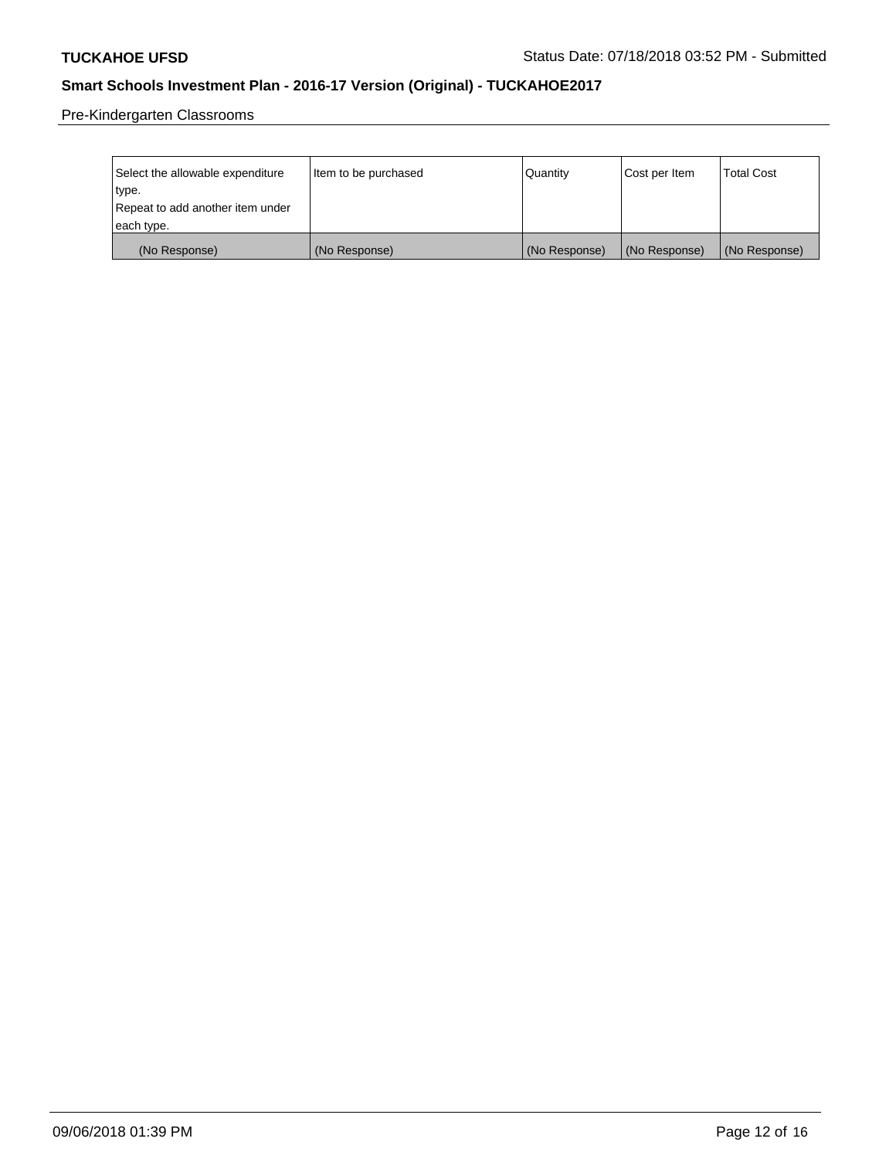Pre-Kindergarten Classrooms

| Select the allowable expenditure | Item to be purchased | Quantity      | Cost per Item | <b>Total Cost</b> |
|----------------------------------|----------------------|---------------|---------------|-------------------|
| type.                            |                      |               |               |                   |
| Repeat to add another item under |                      |               |               |                   |
| each type.                       |                      |               |               |                   |
| (No Response)                    | (No Response)        | (No Response) | (No Response) | (No Response)     |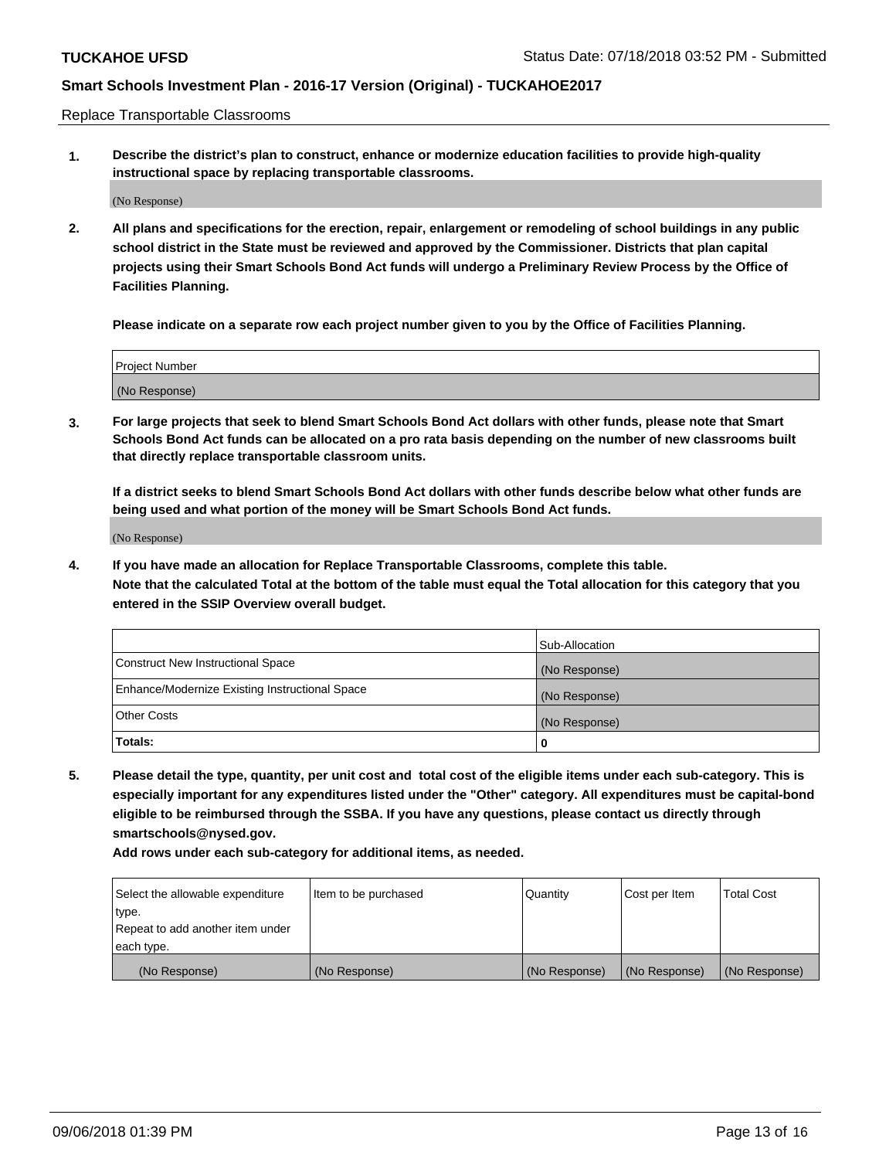Replace Transportable Classrooms

**1. Describe the district's plan to construct, enhance or modernize education facilities to provide high-quality instructional space by replacing transportable classrooms.**

(No Response)

**2. All plans and specifications for the erection, repair, enlargement or remodeling of school buildings in any public school district in the State must be reviewed and approved by the Commissioner. Districts that plan capital projects using their Smart Schools Bond Act funds will undergo a Preliminary Review Process by the Office of Facilities Planning.**

**Please indicate on a separate row each project number given to you by the Office of Facilities Planning.**

| Project Number |  |
|----------------|--|
|                |  |
| (No Response)  |  |

**3. For large projects that seek to blend Smart Schools Bond Act dollars with other funds, please note that Smart Schools Bond Act funds can be allocated on a pro rata basis depending on the number of new classrooms built that directly replace transportable classroom units.**

**If a district seeks to blend Smart Schools Bond Act dollars with other funds describe below what other funds are being used and what portion of the money will be Smart Schools Bond Act funds.**

(No Response)

**4. If you have made an allocation for Replace Transportable Classrooms, complete this table. Note that the calculated Total at the bottom of the table must equal the Total allocation for this category that you entered in the SSIP Overview overall budget.**

|                                                | Sub-Allocation |
|------------------------------------------------|----------------|
| Construct New Instructional Space              | (No Response)  |
| Enhance/Modernize Existing Instructional Space | (No Response)  |
| <b>Other Costs</b>                             | (No Response)  |
| Totals:                                        | 0              |

**5. Please detail the type, quantity, per unit cost and total cost of the eligible items under each sub-category. This is especially important for any expenditures listed under the "Other" category. All expenditures must be capital-bond eligible to be reimbursed through the SSBA. If you have any questions, please contact us directly through smartschools@nysed.gov.**

| Select the allowable expenditure | Item to be purchased | l Quantitv    | Cost per Item | <b>Total Cost</b> |
|----------------------------------|----------------------|---------------|---------------|-------------------|
| type.                            |                      |               |               |                   |
| Repeat to add another item under |                      |               |               |                   |
| each type.                       |                      |               |               |                   |
| (No Response)                    | (No Response)        | (No Response) | (No Response) | (No Response)     |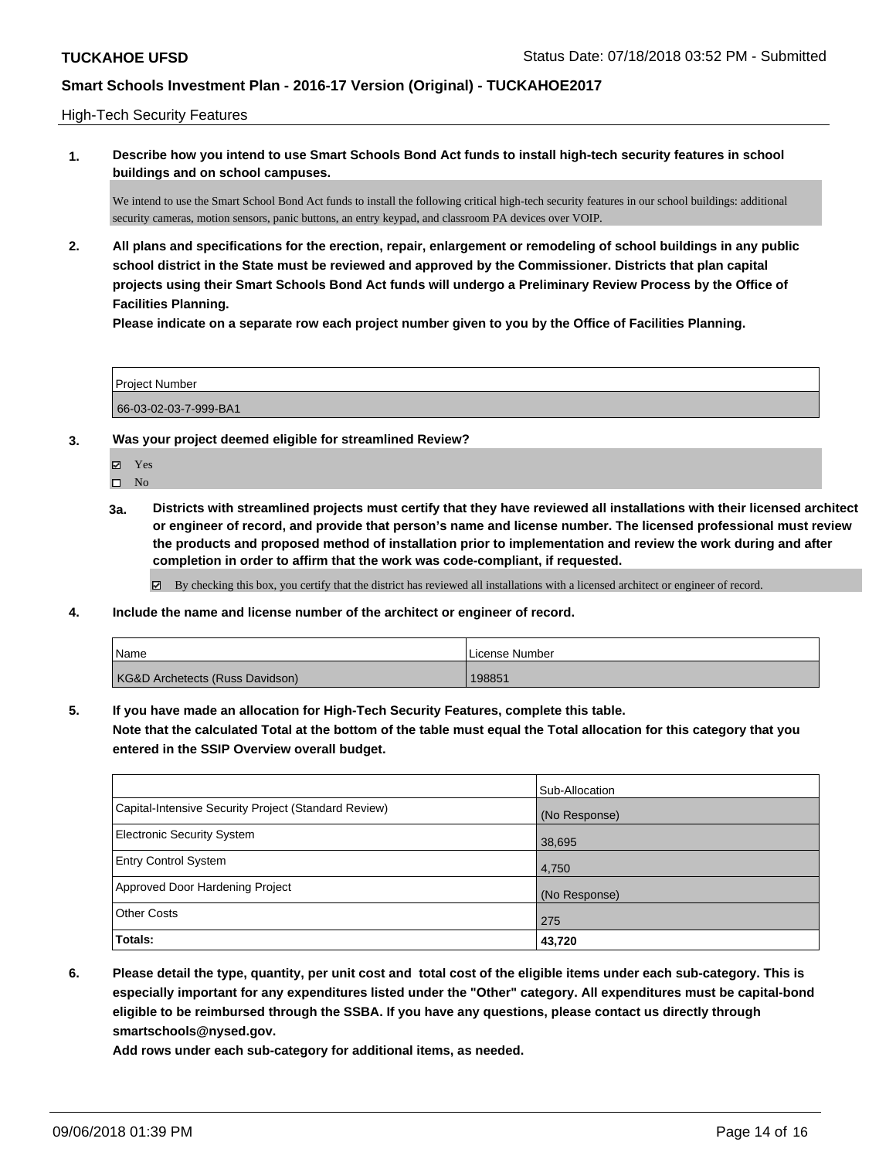### High-Tech Security Features

**1. Describe how you intend to use Smart Schools Bond Act funds to install high-tech security features in school buildings and on school campuses.**

We intend to use the Smart School Bond Act funds to install the following critical high-tech security features in our school buildings: additional security cameras, motion sensors, panic buttons, an entry keypad, and classroom PA devices over VOIP.

**2. All plans and specifications for the erection, repair, enlargement or remodeling of school buildings in any public school district in the State must be reviewed and approved by the Commissioner. Districts that plan capital projects using their Smart Schools Bond Act funds will undergo a Preliminary Review Process by the Office of Facilities Planning.** 

**Please indicate on a separate row each project number given to you by the Office of Facilities Planning.**

| <b>Project Number</b> |  |
|-----------------------|--|
| 66-03-02-03-7-999-BA1 |  |

- **3. Was your project deemed eligible for streamlined Review?**
	- Yes

 $\square$  No

**3a. Districts with streamlined projects must certify that they have reviewed all installations with their licensed architect or engineer of record, and provide that person's name and license number. The licensed professional must review the products and proposed method of installation prior to implementation and review the work during and after completion in order to affirm that the work was code-compliant, if requested.**

By checking this box, you certify that the district has reviewed all installations with a licensed architect or engineer of record.

**4. Include the name and license number of the architect or engineer of record.**

| <i>Name</i>                                | I License Number |
|--------------------------------------------|------------------|
| <b>KG&amp;D Archetects (Russ Davidson)</b> | 198851           |

**5. If you have made an allocation for High-Tech Security Features, complete this table. Note that the calculated Total at the bottom of the table must equal the Total allocation for this category that you entered in the SSIP Overview overall budget.**

|                                                      | Sub-Allocation |
|------------------------------------------------------|----------------|
| Capital-Intensive Security Project (Standard Review) | (No Response)  |
| Electronic Security System                           | 38,695         |
| <b>Entry Control System</b>                          | 4,750          |
| Approved Door Hardening Project                      | (No Response)  |
| <b>Other Costs</b>                                   | 275            |
| Totals:                                              | 43,720         |

**6. Please detail the type, quantity, per unit cost and total cost of the eligible items under each sub-category. This is especially important for any expenditures listed under the "Other" category. All expenditures must be capital-bond eligible to be reimbursed through the SSBA. If you have any questions, please contact us directly through smartschools@nysed.gov.**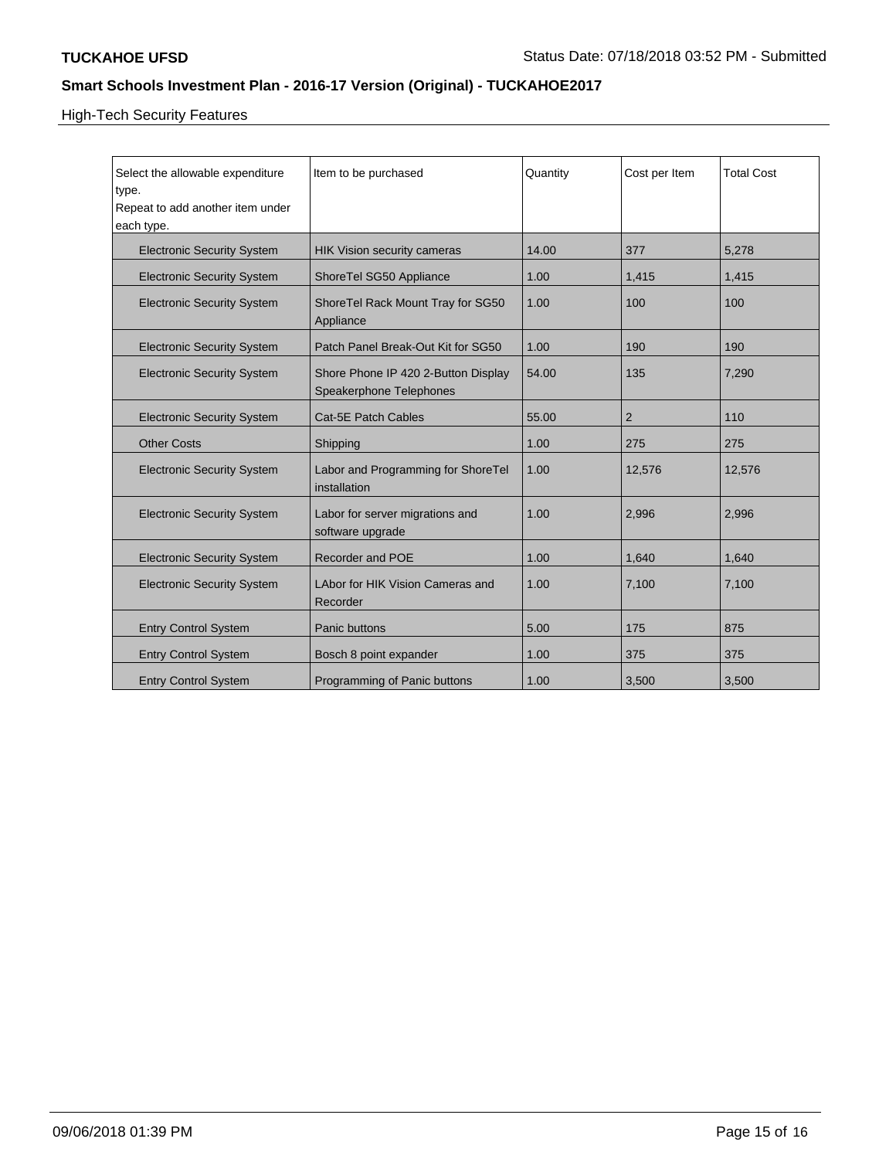# High-Tech Security Features

| Select the allowable expenditure  | Item to be purchased                                                  | Quantity | Cost per Item  | <b>Total Cost</b> |
|-----------------------------------|-----------------------------------------------------------------------|----------|----------------|-------------------|
| type.                             |                                                                       |          |                |                   |
| Repeat to add another item under  |                                                                       |          |                |                   |
| each type.                        |                                                                       |          |                |                   |
| <b>Electronic Security System</b> | <b>HIK Vision security cameras</b>                                    | 14.00    | 377            | 5,278             |
| <b>Electronic Security System</b> | ShoreTel SG50 Appliance                                               | 1.00     | 1,415          | 1,415             |
| <b>Electronic Security System</b> | ShoreTel Rack Mount Tray for SG50<br>Appliance                        | 1.00     | 100            | 100               |
| <b>Electronic Security System</b> | Patch Panel Break-Out Kit for SG50                                    | 1.00     | 190            | 190               |
| <b>Electronic Security System</b> | Shore Phone IP 420 2-Button Display<br><b>Speakerphone Telephones</b> | 54.00    | 135            | 7,290             |
| <b>Electronic Security System</b> | Cat-5E Patch Cables                                                   | 55.00    | $\overline{2}$ | 110               |
| <b>Other Costs</b>                | Shipping                                                              | 1.00     | 275            | 275               |
| <b>Electronic Security System</b> | Labor and Programming for ShoreTel<br>installation                    | 1.00     | 12,576         | 12,576            |
| <b>Electronic Security System</b> | Labor for server migrations and<br>software upgrade                   | 1.00     | 2,996          | 2,996             |
| <b>Electronic Security System</b> | Recorder and POE                                                      | 1.00     | 1,640          | 1,640             |
| <b>Electronic Security System</b> | LAbor for HIK Vision Cameras and<br>Recorder                          | 1.00     | 7,100          | 7,100             |
| <b>Entry Control System</b>       | Panic buttons                                                         | 5.00     | 175            | 875               |
| <b>Entry Control System</b>       | Bosch 8 point expander                                                | 1.00     | 375            | 375               |
| <b>Entry Control System</b>       | Programming of Panic buttons                                          | 1.00     | 3,500          | 3,500             |